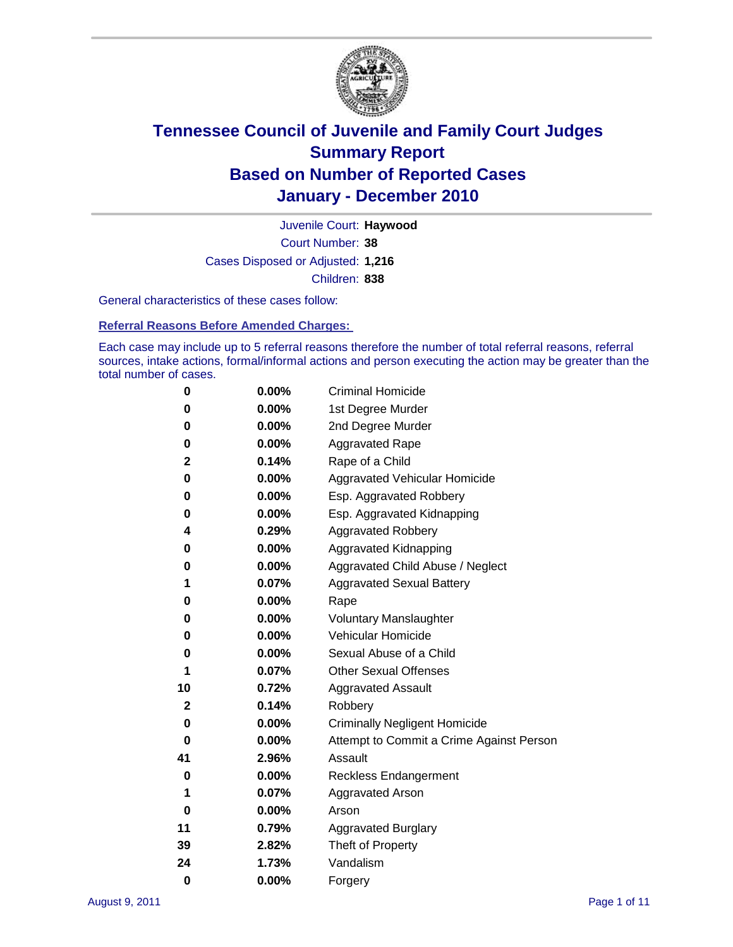

Court Number: **38** Juvenile Court: **Haywood** Cases Disposed or Adjusted: **1,216** Children: **838**

General characteristics of these cases follow:

**Referral Reasons Before Amended Charges:** 

Each case may include up to 5 referral reasons therefore the number of total referral reasons, referral sources, intake actions, formal/informal actions and person executing the action may be greater than the total number of cases.

| 0  | 0.00%    | <b>Criminal Homicide</b>                 |  |  |  |  |
|----|----------|------------------------------------------|--|--|--|--|
| 0  | 0.00%    | 1st Degree Murder                        |  |  |  |  |
| 0  | 0.00%    | 2nd Degree Murder                        |  |  |  |  |
| 0  | 0.00%    | <b>Aggravated Rape</b>                   |  |  |  |  |
| 2  | 0.14%    | Rape of a Child                          |  |  |  |  |
| 0  | 0.00%    | Aggravated Vehicular Homicide            |  |  |  |  |
| 0  | 0.00%    | Esp. Aggravated Robbery                  |  |  |  |  |
| 0  | 0.00%    | Esp. Aggravated Kidnapping               |  |  |  |  |
| 4  | 0.29%    | <b>Aggravated Robbery</b>                |  |  |  |  |
| 0  | 0.00%    | Aggravated Kidnapping                    |  |  |  |  |
| 0  | 0.00%    | Aggravated Child Abuse / Neglect         |  |  |  |  |
| 1  | 0.07%    | <b>Aggravated Sexual Battery</b>         |  |  |  |  |
| 0  | 0.00%    | Rape                                     |  |  |  |  |
| 0  | $0.00\%$ | <b>Voluntary Manslaughter</b>            |  |  |  |  |
| 0  | 0.00%    | Vehicular Homicide                       |  |  |  |  |
| 0  | 0.00%    | Sexual Abuse of a Child                  |  |  |  |  |
| 1  | 0.07%    | <b>Other Sexual Offenses</b>             |  |  |  |  |
| 10 | 0.72%    | <b>Aggravated Assault</b>                |  |  |  |  |
| 2  | 0.14%    | Robbery                                  |  |  |  |  |
| 0  | 0.00%    | <b>Criminally Negligent Homicide</b>     |  |  |  |  |
| 0  | 0.00%    | Attempt to Commit a Crime Against Person |  |  |  |  |
| 41 | 2.96%    | Assault                                  |  |  |  |  |
| 0  | 0.00%    | <b>Reckless Endangerment</b>             |  |  |  |  |
| 1  | 0.07%    | <b>Aggravated Arson</b>                  |  |  |  |  |
| 0  | 0.00%    | Arson                                    |  |  |  |  |
| 11 | 0.79%    | <b>Aggravated Burglary</b>               |  |  |  |  |
| 39 | 2.82%    | Theft of Property                        |  |  |  |  |
| 24 | 1.73%    | Vandalism                                |  |  |  |  |
| 0  | 0.00%    | Forgery                                  |  |  |  |  |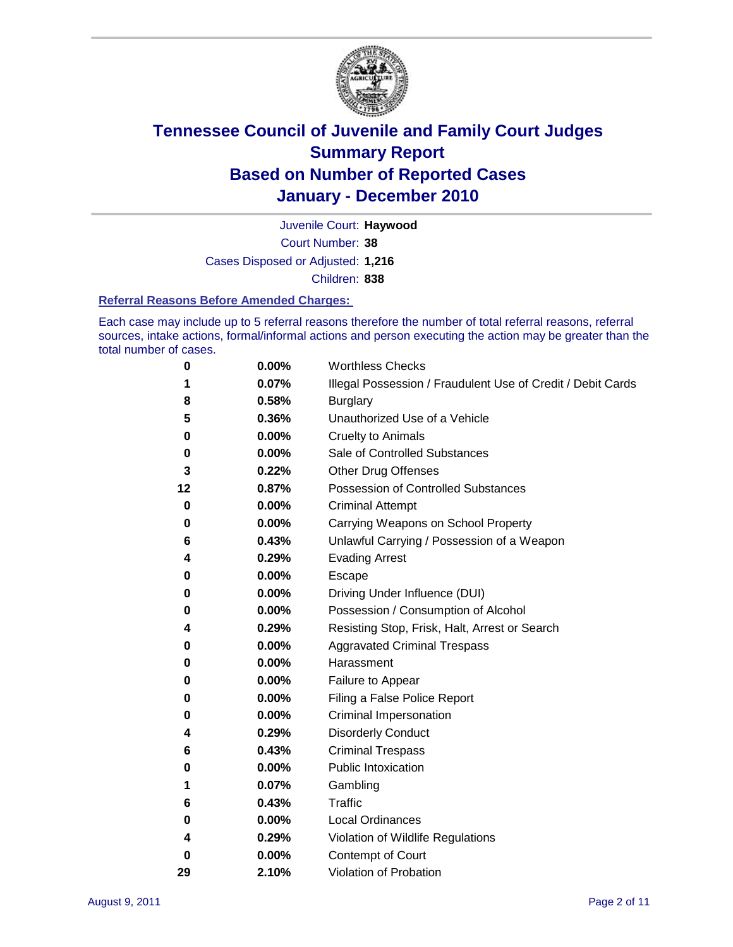

Court Number: **38** Juvenile Court: **Haywood** Cases Disposed or Adjusted: **1,216** Children: **838**

#### **Referral Reasons Before Amended Charges:**

Each case may include up to 5 referral reasons therefore the number of total referral reasons, referral sources, intake actions, formal/informal actions and person executing the action may be greater than the total number of cases.

| 0  | 0.00% | <b>Worthless Checks</b>                                     |  |  |  |
|----|-------|-------------------------------------------------------------|--|--|--|
| 1  | 0.07% | Illegal Possession / Fraudulent Use of Credit / Debit Cards |  |  |  |
| 8  | 0.58% | <b>Burglary</b>                                             |  |  |  |
| 5  | 0.36% | Unauthorized Use of a Vehicle                               |  |  |  |
| 0  | 0.00% | <b>Cruelty to Animals</b>                                   |  |  |  |
| 0  | 0.00% | Sale of Controlled Substances                               |  |  |  |
| 3  | 0.22% | <b>Other Drug Offenses</b>                                  |  |  |  |
| 12 | 0.87% | Possession of Controlled Substances                         |  |  |  |
| 0  | 0.00% | <b>Criminal Attempt</b>                                     |  |  |  |
| 0  | 0.00% | Carrying Weapons on School Property                         |  |  |  |
| 6  | 0.43% | Unlawful Carrying / Possession of a Weapon                  |  |  |  |
| 4  | 0.29% | <b>Evading Arrest</b>                                       |  |  |  |
| 0  | 0.00% | Escape                                                      |  |  |  |
| 0  | 0.00% | Driving Under Influence (DUI)                               |  |  |  |
| 0  | 0.00% | Possession / Consumption of Alcohol                         |  |  |  |
| 4  | 0.29% | Resisting Stop, Frisk, Halt, Arrest or Search               |  |  |  |
| 0  | 0.00% | <b>Aggravated Criminal Trespass</b>                         |  |  |  |
| 0  | 0.00% | Harassment                                                  |  |  |  |
| 0  | 0.00% | Failure to Appear                                           |  |  |  |
| 0  | 0.00% | Filing a False Police Report                                |  |  |  |
| 0  | 0.00% | Criminal Impersonation                                      |  |  |  |
| 4  | 0.29% | <b>Disorderly Conduct</b>                                   |  |  |  |
| 6  | 0.43% | <b>Criminal Trespass</b>                                    |  |  |  |
| 0  | 0.00% | <b>Public Intoxication</b>                                  |  |  |  |
| 1  | 0.07% | Gambling                                                    |  |  |  |
| 6  | 0.43% | <b>Traffic</b>                                              |  |  |  |
| 0  | 0.00% | <b>Local Ordinances</b>                                     |  |  |  |
| 4  | 0.29% | Violation of Wildlife Regulations                           |  |  |  |
| 0  | 0.00% | Contempt of Court                                           |  |  |  |
| 29 | 2.10% | Violation of Probation                                      |  |  |  |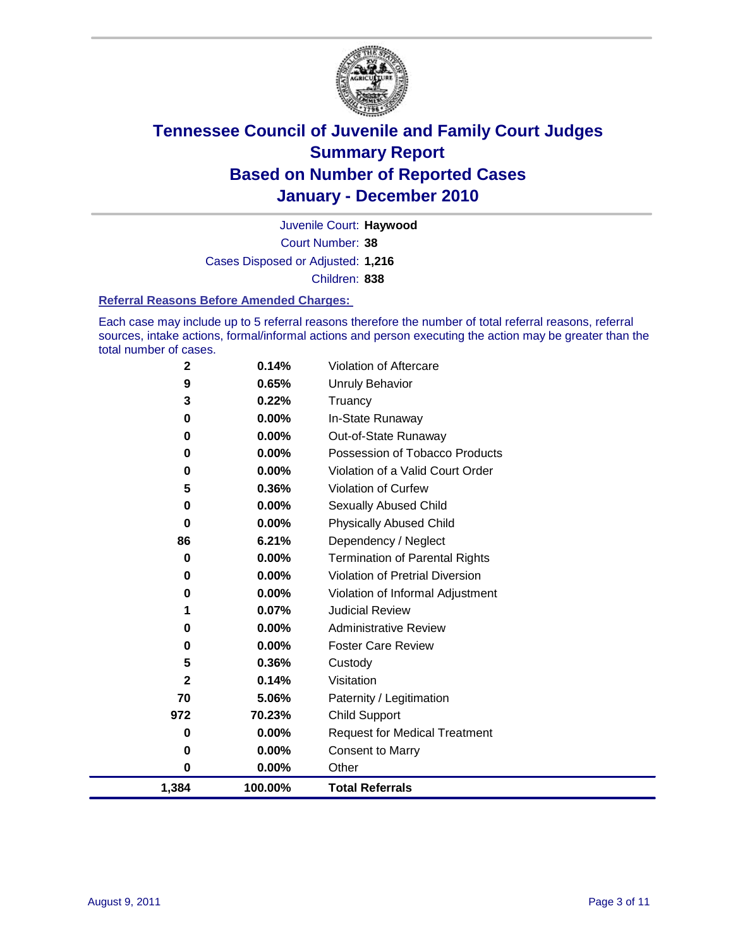

Court Number: **38** Juvenile Court: **Haywood** Cases Disposed or Adjusted: **1,216** Children: **838**

#### **Referral Reasons Before Amended Charges:**

Each case may include up to 5 referral reasons therefore the number of total referral reasons, referral sources, intake actions, formal/informal actions and person executing the action may be greater than the total number of cases.

| 1,384       | 100.00%        | <b>Total Referrals</b>                 |
|-------------|----------------|----------------------------------------|
| $\bf{0}$    | 0.00%          | Other                                  |
| 0           | 0.00%          | <b>Consent to Marry</b>                |
| 0           | 0.00%          | <b>Request for Medical Treatment</b>   |
| 972         | 70.23%         | <b>Child Support</b>                   |
| 70          | 5.06%          | Paternity / Legitimation               |
| 2           | 0.14%          | Visitation                             |
| 5           | 0.36%          | Custody                                |
| 0           | 0.00%          | <b>Foster Care Review</b>              |
| 0           | $0.00\%$       | <b>Administrative Review</b>           |
| 1           | 0.07%          | <b>Judicial Review</b>                 |
| 0           | 0.00%          | Violation of Informal Adjustment       |
| 0           | 0.00%          | <b>Violation of Pretrial Diversion</b> |
| 0           | 0.00%          | <b>Termination of Parental Rights</b>  |
| 86          | 6.21%          | Dependency / Neglect                   |
| $\bf{0}$    | 0.00%          | <b>Physically Abused Child</b>         |
| 0           | 0.00%          | Sexually Abused Child                  |
| 5           | 0.36%          | <b>Violation of Curfew</b>             |
| 0           | $0.00\%$       | Violation of a Valid Court Order       |
| 0           | 0.00%          | Possession of Tobacco Products         |
| 0           | $0.00\%$       | Out-of-State Runaway                   |
| 3<br>0      | 0.22%<br>0.00% | Truancy<br>In-State Runaway            |
| 9           | 0.65%          | Unruly Behavior                        |
| $\mathbf 2$ | 0.14%          | Violation of Aftercare                 |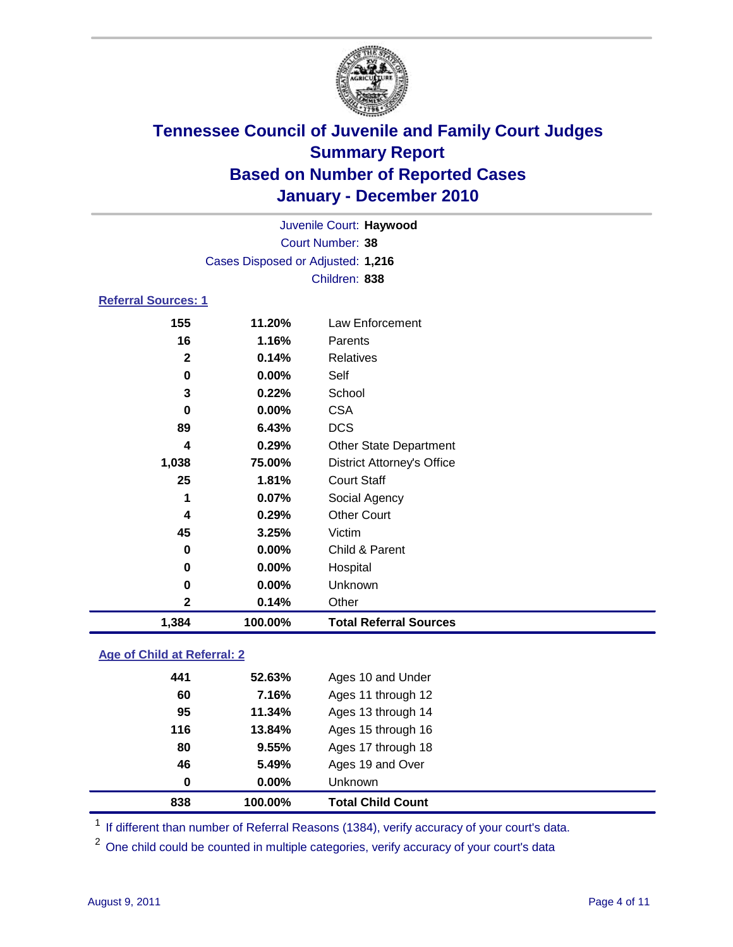

|                            |                                   | Juvenile Court: Haywood           |  |  |  |
|----------------------------|-----------------------------------|-----------------------------------|--|--|--|
|                            | Court Number: 38                  |                                   |  |  |  |
|                            | Cases Disposed or Adjusted: 1,216 |                                   |  |  |  |
|                            |                                   | Children: 838                     |  |  |  |
| <b>Referral Sources: 1</b> |                                   |                                   |  |  |  |
| 155                        | 11.20%                            | Law Enforcement                   |  |  |  |
| 16                         | 1.16%                             | Parents                           |  |  |  |
| $\mathbf{2}$               | 0.14%                             | <b>Relatives</b>                  |  |  |  |
| 0                          | $0.00\%$                          | Self                              |  |  |  |
| 3                          | 0.22%                             | School                            |  |  |  |
| 0                          | $0.00\%$                          | <b>CSA</b>                        |  |  |  |
| 89                         | 6.43%                             | <b>DCS</b>                        |  |  |  |
| 4                          | 0.29%                             | <b>Other State Department</b>     |  |  |  |
| 1,038                      | 75.00%                            | <b>District Attorney's Office</b> |  |  |  |
| 25                         | 1.81%                             | <b>Court Staff</b>                |  |  |  |
| 1                          | $0.07\%$                          | Social Agency                     |  |  |  |
| 4                          | 0.29%                             | <b>Other Court</b>                |  |  |  |
| 45                         | 3.25%                             | Victim                            |  |  |  |
| 0                          | 0.00%                             | Child & Parent                    |  |  |  |
| 0                          | 0.00%                             | Hospital                          |  |  |  |

# **1,384 100.00% Total Referral Sources**

 **0.00%** Unknown **0.14%** Other

### **Age of Child at Referral: 2**

|     |        | Unknown            |
|-----|--------|--------------------|
| 46  | 5.49%  | Ages 19 and Over   |
| 80  | 9.55%  | Ages 17 through 18 |
| 116 | 13.84% | Ages 15 through 16 |
| 95  | 11.34% | Ages 13 through 14 |
| 60  | 7.16%  | Ages 11 through 12 |
| 441 | 52.63% | Ages 10 and Under  |
|     |        | 0.00%<br>$\bf{0}$  |

<sup>1</sup> If different than number of Referral Reasons (1384), verify accuracy of your court's data.

<sup>2</sup> One child could be counted in multiple categories, verify accuracy of your court's data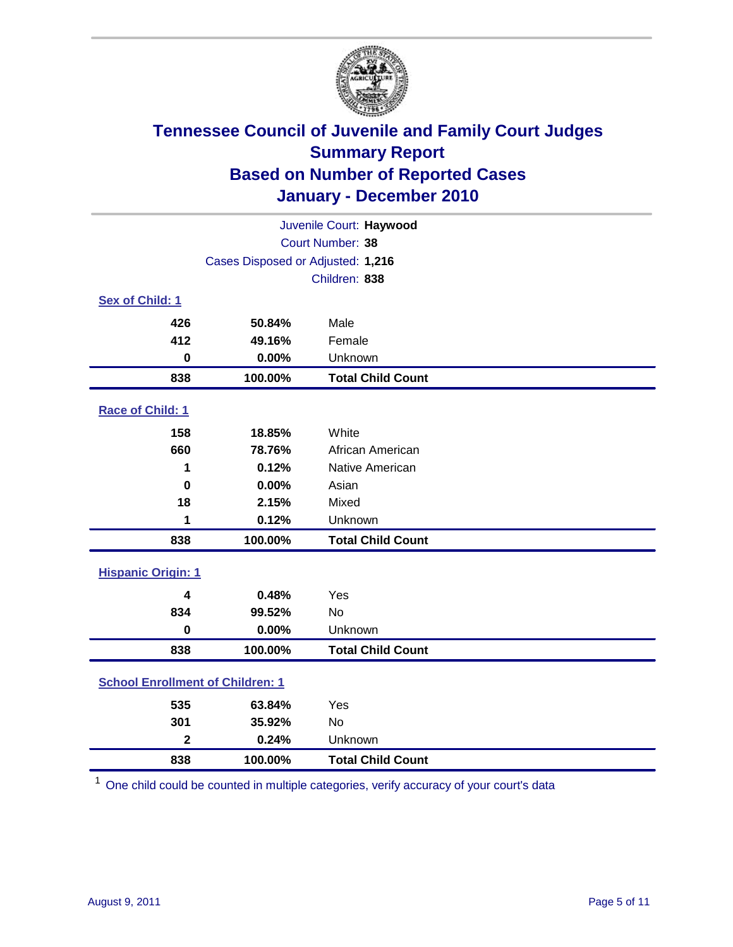

| Juvenile Court: Haywood                 |                                   |                          |  |  |
|-----------------------------------------|-----------------------------------|--------------------------|--|--|
|                                         | Court Number: 38                  |                          |  |  |
|                                         | Cases Disposed or Adjusted: 1,216 |                          |  |  |
|                                         |                                   | Children: 838            |  |  |
| Sex of Child: 1                         |                                   |                          |  |  |
| 426                                     | 50.84%                            | Male                     |  |  |
| 412                                     | 49.16%                            | Female                   |  |  |
| $\bf{0}$                                | 0.00%                             | Unknown                  |  |  |
| 838                                     | 100.00%                           | <b>Total Child Count</b> |  |  |
| Race of Child: 1                        |                                   |                          |  |  |
| 158                                     | 18.85%                            | White                    |  |  |
| 660                                     | 78.76%                            | African American         |  |  |
| 1                                       | 0.12%                             | <b>Native American</b>   |  |  |
| $\mathbf 0$                             | 0.00%                             | Asian                    |  |  |
| 18                                      | 2.15%                             | Mixed                    |  |  |
| 1                                       | 0.12%                             | Unknown                  |  |  |
| 838                                     | 100.00%                           | <b>Total Child Count</b> |  |  |
| <b>Hispanic Origin: 1</b>               |                                   |                          |  |  |
| 4                                       | 0.48%                             | Yes                      |  |  |
| 834                                     | 99.52%                            | <b>No</b>                |  |  |
| $\mathbf 0$                             | 0.00%                             | Unknown                  |  |  |
| 838                                     | 100.00%                           | <b>Total Child Count</b> |  |  |
| <b>School Enrollment of Children: 1</b> |                                   |                          |  |  |
| 535                                     | 63.84%                            | Yes                      |  |  |
| 301                                     | 35.92%                            | No                       |  |  |
| $\overline{\mathbf{2}}$                 | 0.24%                             | Unknown                  |  |  |
| 838                                     | 100.00%                           | <b>Total Child Count</b> |  |  |

One child could be counted in multiple categories, verify accuracy of your court's data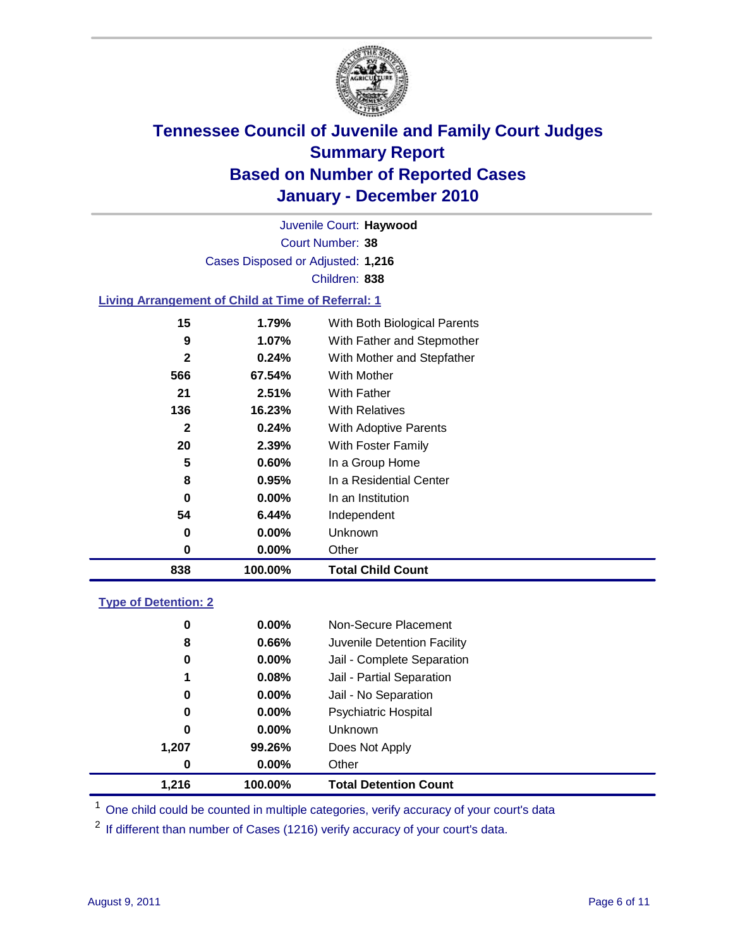

Court Number: **38** Juvenile Court: **Haywood** Cases Disposed or Adjusted: **1,216** Children: **838**

#### **Living Arrangement of Child at Time of Referral: 1**

| 838          | 100.00%  | <b>Total Child Count</b>     |
|--------------|----------|------------------------------|
| 0            | 0.00%    | Other                        |
| 0            | $0.00\%$ | Unknown                      |
| 54           | 6.44%    | Independent                  |
| 0            | $0.00\%$ | In an Institution            |
| 8            | 0.95%    | In a Residential Center      |
| 5            | 0.60%    | In a Group Home              |
| 20           | 2.39%    | With Foster Family           |
| $\mathbf{2}$ | 0.24%    | With Adoptive Parents        |
| 136          | 16.23%   | <b>With Relatives</b>        |
| 21           | 2.51%    | With Father                  |
| 566          | 67.54%   | With Mother                  |
| $\mathbf{2}$ | 0.24%    | With Mother and Stepfather   |
| 9            | 1.07%    | With Father and Stepmother   |
| 15           | 1.79%    | With Both Biological Parents |
|              |          |                              |

#### **Type of Detention: 2**

| 1.216    | 100.00%  | <b>Total Detention Count</b> |
|----------|----------|------------------------------|
| $\bf{0}$ | $0.00\%$ | Other                        |
| 1,207    | 99.26%   | Does Not Apply               |
| 0        | $0.00\%$ | <b>Unknown</b>               |
| 0        | $0.00\%$ | Psychiatric Hospital         |
| 0        | 0.00%    | Jail - No Separation         |
| 1        | 0.08%    | Jail - Partial Separation    |
| 0        | 0.00%    | Jail - Complete Separation   |
| 8        | 0.66%    | Juvenile Detention Facility  |
| 0        | $0.00\%$ | Non-Secure Placement         |
|          |          |                              |

<sup>1</sup> One child could be counted in multiple categories, verify accuracy of your court's data

<sup>2</sup> If different than number of Cases (1216) verify accuracy of your court's data.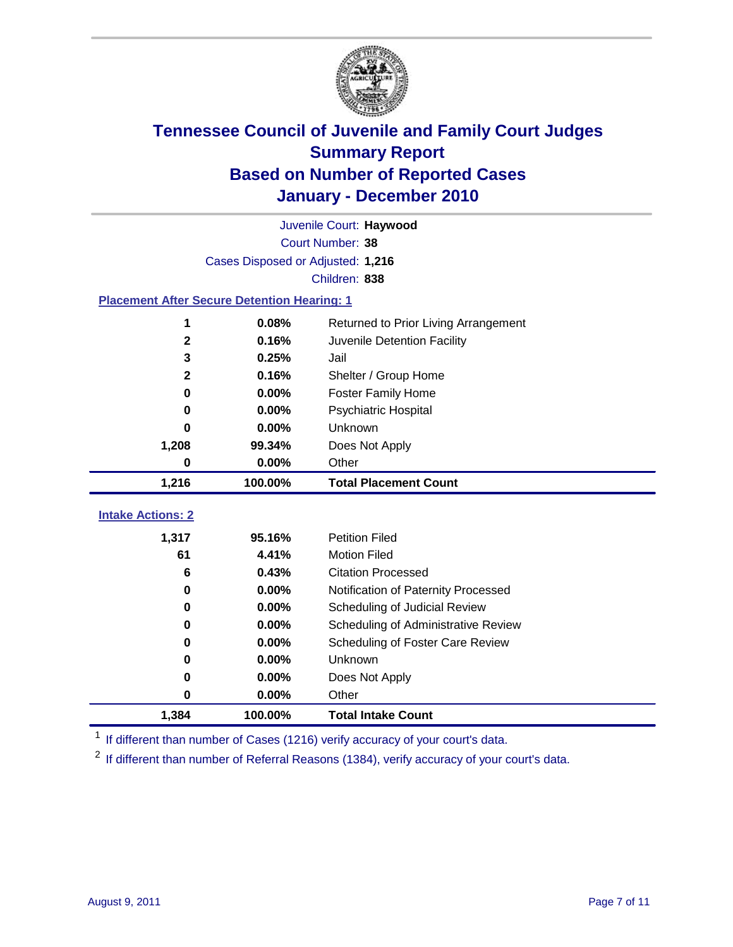

|                                                    | Juvenile Court: Haywood           |                                      |  |  |  |
|----------------------------------------------------|-----------------------------------|--------------------------------------|--|--|--|
|                                                    | Court Number: 38                  |                                      |  |  |  |
|                                                    | Cases Disposed or Adjusted: 1,216 |                                      |  |  |  |
|                                                    | Children: 838                     |                                      |  |  |  |
| <b>Placement After Secure Detention Hearing: 1</b> |                                   |                                      |  |  |  |
| 1                                                  | 0.08%                             | Returned to Prior Living Arrangement |  |  |  |
| $\mathbf 2$                                        | 0.16%                             | Juvenile Detention Facility          |  |  |  |
| 3                                                  | 0.25%                             | Jail                                 |  |  |  |
| $\mathbf{2}$                                       | 0.16%                             | Shelter / Group Home                 |  |  |  |
| 0                                                  | 0.00%                             | <b>Foster Family Home</b>            |  |  |  |
| 0                                                  | 0.00%                             | Psychiatric Hospital                 |  |  |  |
| 0                                                  | 0.00%                             | Unknown                              |  |  |  |
| 1,208                                              | 99.34%                            | Does Not Apply                       |  |  |  |
| 0                                                  | 0.00%                             | Other                                |  |  |  |
| 1,216                                              | 100.00%                           | <b>Total Placement Count</b>         |  |  |  |
|                                                    |                                   |                                      |  |  |  |
| <b>Intake Actions: 2</b>                           |                                   |                                      |  |  |  |
| 1,317                                              | 95.16%                            | <b>Petition Filed</b>                |  |  |  |
| 61                                                 | 4.41%                             | <b>Motion Filed</b>                  |  |  |  |
| 6                                                  | 0.43%                             | <b>Citation Processed</b>            |  |  |  |
| 0                                                  | 0.00%                             | Notification of Paternity Processed  |  |  |  |
| 0                                                  | 0.00%                             | Scheduling of Judicial Review        |  |  |  |
| 0                                                  | 0.00%                             | Scheduling of Administrative Review  |  |  |  |
| 0                                                  | 0.00%                             | Scheduling of Foster Care Review     |  |  |  |
| 0                                                  | 0.00%                             | Unknown                              |  |  |  |
| 0                                                  | 0.00%                             | Does Not Apply                       |  |  |  |
| 0                                                  | 0.00%                             | Other                                |  |  |  |
| 1,384                                              | 100.00%                           | <b>Total Intake Count</b>            |  |  |  |

<sup>1</sup> If different than number of Cases (1216) verify accuracy of your court's data.

<sup>2</sup> If different than number of Referral Reasons (1384), verify accuracy of your court's data.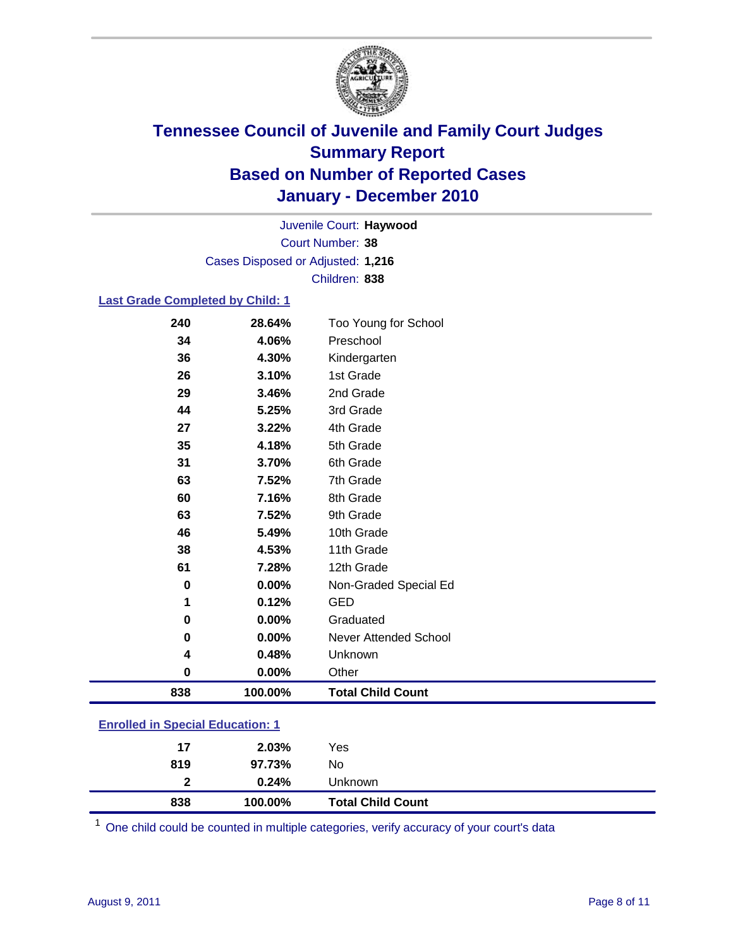

Court Number: **38** Juvenile Court: **Haywood** Cases Disposed or Adjusted: **1,216** Children: **838**

#### **Last Grade Completed by Child: 1**

| 240                                     | 28.64%  | Too Young for School     |  |
|-----------------------------------------|---------|--------------------------|--|
| 34                                      | 4.06%   | Preschool                |  |
| 36                                      | 4.30%   | Kindergarten             |  |
| 26                                      | 3.10%   | 1st Grade                |  |
| 29                                      | 3.46%   | 2nd Grade                |  |
| 44                                      | 5.25%   | 3rd Grade                |  |
| 27                                      | 3.22%   | 4th Grade                |  |
| 35                                      | 4.18%   | 5th Grade                |  |
| 31                                      | 3.70%   | 6th Grade                |  |
| 63                                      | 7.52%   | 7th Grade                |  |
| 60                                      | 7.16%   | 8th Grade                |  |
| 63                                      | 7.52%   | 9th Grade                |  |
| 46                                      | 5.49%   | 10th Grade               |  |
| 38                                      | 4.53%   | 11th Grade               |  |
| 61                                      | 7.28%   | 12th Grade               |  |
| 0                                       | 0.00%   | Non-Graded Special Ed    |  |
| 1                                       | 0.12%   | <b>GED</b>               |  |
| 0                                       | 0.00%   | Graduated                |  |
| 0                                       | 0.00%   | Never Attended School    |  |
| 4                                       | 0.48%   | Unknown                  |  |
| 0                                       | 0.00%   | Other                    |  |
| 838                                     | 100.00% | <b>Total Child Count</b> |  |
| <b>Enrolled in Special Education: 1</b> |         |                          |  |

| 838            | 100.00% | <b>Total Child Count</b> |  |
|----------------|---------|--------------------------|--|
| $\overline{2}$ | 0.24%   | Unknown                  |  |
| 819            | 97.73%  | No                       |  |
| 17             | 2.03%   | Yes                      |  |
|                |         |                          |  |

One child could be counted in multiple categories, verify accuracy of your court's data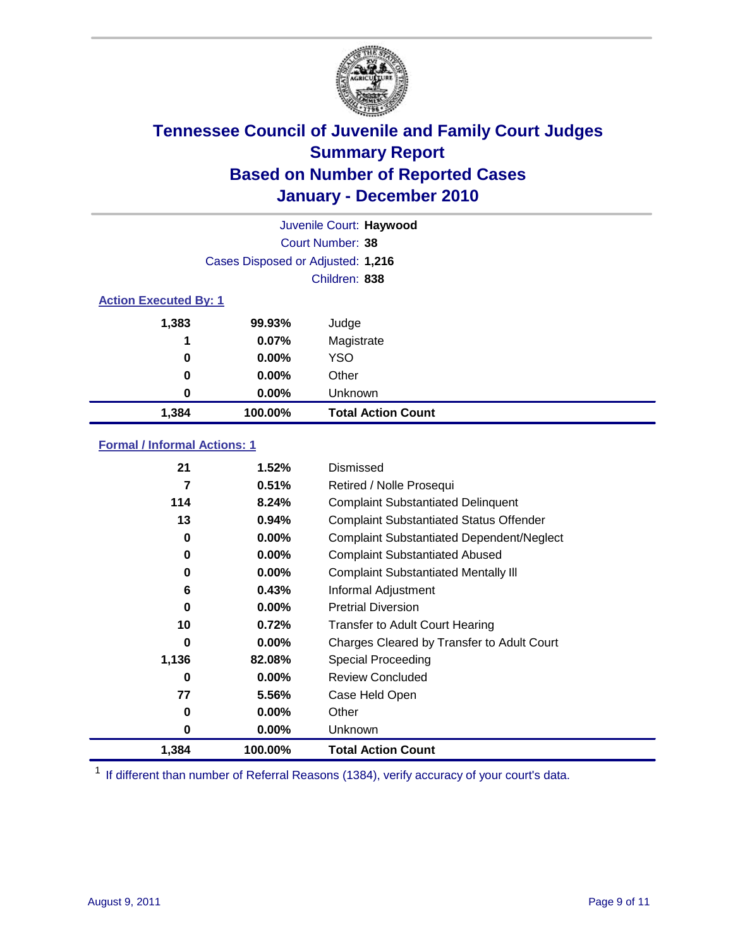

|       |                                   | Juvenile Court: Haywood   |  |  |  |
|-------|-----------------------------------|---------------------------|--|--|--|
|       |                                   | Court Number: 38          |  |  |  |
|       | Cases Disposed or Adjusted: 1,216 |                           |  |  |  |
|       |                                   | Children: 838             |  |  |  |
|       | <b>Action Executed By: 1</b>      |                           |  |  |  |
| 1,383 | 99.93%                            | Judge                     |  |  |  |
| 1     | 0.07%                             | Magistrate                |  |  |  |
| 0     | $0.00\%$                          | <b>YSO</b>                |  |  |  |
| 0     | $0.00\%$                          | Other                     |  |  |  |
| 0     | 0.00%                             | Unknown                   |  |  |  |
| 1,384 | 100.00%                           | <b>Total Action Count</b> |  |  |  |

### **Formal / Informal Actions: 1**

| 21    | 1.52%    | Dismissed                                        |
|-------|----------|--------------------------------------------------|
| 7     | 0.51%    | Retired / Nolle Prosequi                         |
| 114   | 8.24%    | <b>Complaint Substantiated Delinquent</b>        |
| 13    | 0.94%    | <b>Complaint Substantiated Status Offender</b>   |
| 0     | $0.00\%$ | <b>Complaint Substantiated Dependent/Neglect</b> |
| 0     | $0.00\%$ | <b>Complaint Substantiated Abused</b>            |
| 0     | $0.00\%$ | <b>Complaint Substantiated Mentally III</b>      |
| 6     | 0.43%    | Informal Adjustment                              |
| 0     | $0.00\%$ | <b>Pretrial Diversion</b>                        |
| 10    | 0.72%    | <b>Transfer to Adult Court Hearing</b>           |
| 0     | $0.00\%$ | Charges Cleared by Transfer to Adult Court       |
| 1,136 | 82.08%   | Special Proceeding                               |
| 0     | $0.00\%$ | <b>Review Concluded</b>                          |
| 77    | 5.56%    | Case Held Open                                   |
| 0     | $0.00\%$ | Other                                            |
| 0     | $0.00\%$ | <b>Unknown</b>                                   |
| 1,384 | 100.00%  | <b>Total Action Count</b>                        |

<sup>1</sup> If different than number of Referral Reasons (1384), verify accuracy of your court's data.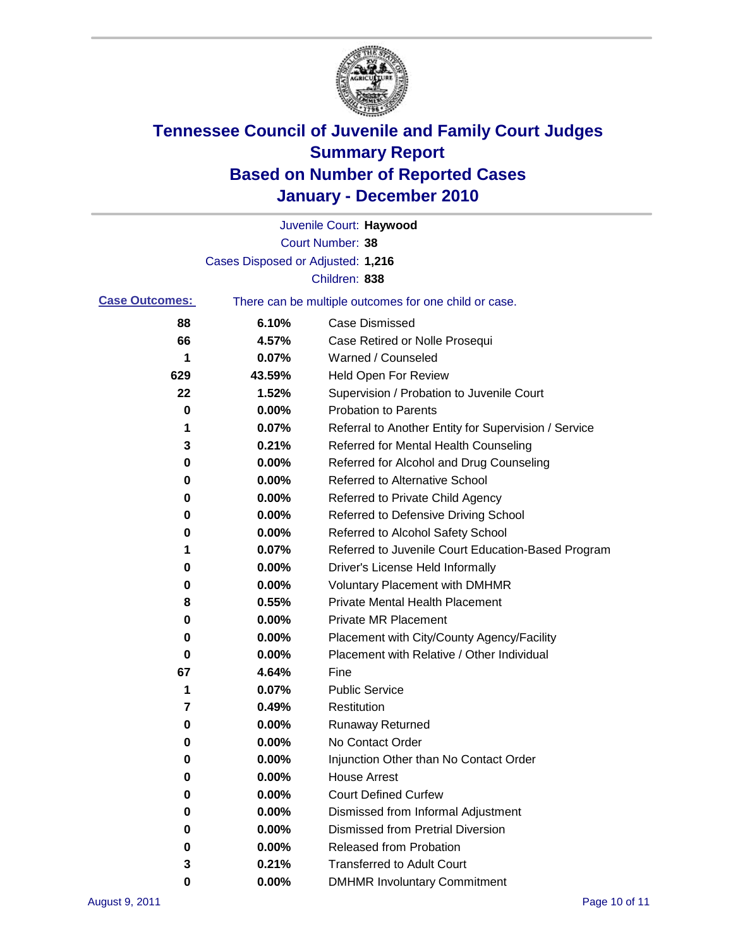

|                       |                                   | Juvenile Court: Haywood                               |
|-----------------------|-----------------------------------|-------------------------------------------------------|
|                       |                                   | Court Number: 38                                      |
|                       | Cases Disposed or Adjusted: 1,216 |                                                       |
|                       |                                   | Children: 838                                         |
| <b>Case Outcomes:</b> |                                   | There can be multiple outcomes for one child or case. |
| 88                    | 6.10%                             | <b>Case Dismissed</b>                                 |
| 66                    | 4.57%                             | Case Retired or Nolle Prosequi                        |
| 1                     | 0.07%                             | Warned / Counseled                                    |
| 629                   | 43.59%                            | <b>Held Open For Review</b>                           |
| 22                    | 1.52%                             | Supervision / Probation to Juvenile Court             |
| 0                     | 0.00%                             | <b>Probation to Parents</b>                           |
| 1                     | 0.07%                             | Referral to Another Entity for Supervision / Service  |
| 3                     | 0.21%                             | Referred for Mental Health Counseling                 |
| 0                     | 0.00%                             | Referred for Alcohol and Drug Counseling              |
| 0                     | 0.00%                             | <b>Referred to Alternative School</b>                 |
| 0                     | 0.00%                             | Referred to Private Child Agency                      |
| 0                     | 0.00%                             | Referred to Defensive Driving School                  |
| 0                     | 0.00%                             | Referred to Alcohol Safety School                     |
| 1                     | 0.07%                             | Referred to Juvenile Court Education-Based Program    |
| 0                     | 0.00%                             | Driver's License Held Informally                      |
| 0                     | 0.00%                             | <b>Voluntary Placement with DMHMR</b>                 |
| 8                     | 0.55%                             | <b>Private Mental Health Placement</b>                |
| 0                     | 0.00%                             | <b>Private MR Placement</b>                           |
| 0                     | 0.00%                             | Placement with City/County Agency/Facility            |
| 0                     | $0.00\%$                          | Placement with Relative / Other Individual            |
| 67                    | 4.64%                             | Fine                                                  |
| 1                     | 0.07%                             | <b>Public Service</b>                                 |
| 7                     | 0.49%                             | Restitution                                           |
| 0                     | 0.00%                             | <b>Runaway Returned</b>                               |
| 0                     | 0.00%                             | No Contact Order                                      |
| 0                     | $0.00\%$                          | Injunction Other than No Contact Order                |
| 0                     | 0.00%                             | <b>House Arrest</b>                                   |
| 0                     | 0.00%                             | <b>Court Defined Curfew</b>                           |
| 0                     | 0.00%                             | Dismissed from Informal Adjustment                    |
| 0                     | 0.00%                             | <b>Dismissed from Pretrial Diversion</b>              |
| 0                     | 0.00%                             | Released from Probation                               |
| 3                     | 0.21%                             | <b>Transferred to Adult Court</b>                     |
| 0                     | $0.00\%$                          | <b>DMHMR Involuntary Commitment</b>                   |